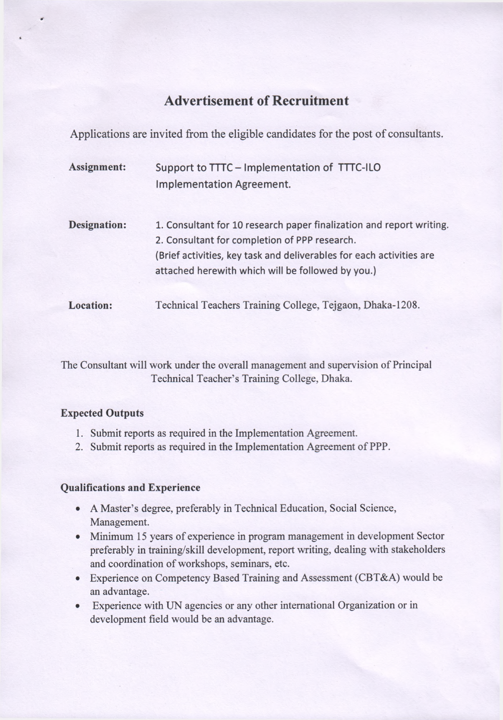# **Advertisement of Recruitment**

Applications are invited from the eligible candidates for the post of consultants.

| <b>Assignment:</b>  | Support to TTTC - Implementation of TTTC-ILO<br><b>Implementation Agreement.</b>                                                                                                                                                                   |
|---------------------|----------------------------------------------------------------------------------------------------------------------------------------------------------------------------------------------------------------------------------------------------|
| <b>Designation:</b> | 1. Consultant for 10 research paper finalization and report writing.<br>2. Consultant for completion of PPP research.<br>(Brief activities, key task and deliverables for each activities are<br>attached herewith which will be followed by you.) |
| <b>Location:</b>    | Technical Teachers Training College, Tejgaon, Dhaka-1208.                                                                                                                                                                                          |

The Consultant will work under the overall management and supervision of Principal Technical Teacher's Training College, Dhaka.

# **Expected Outputs**

- 1. Submit reports as required in the Implementation Agreement.
- 2. Submit reports as required in the Implementation Agreement of PPP.

# **Qualifications and Experience**

- A Master's degree, preferably in Technical Education, Social Science, Management.
- Minimum 15 years of experience in program management in development Sector preferably in training/skill development, report writing, dealing with stakeholders and coordination of workshops, seminars, etc.
- Experience on Competency Based Training and Assessment (CBT&A) would be an advantage.
- Experience with UN agencies or any other international Organization or in development field would be an advantage.